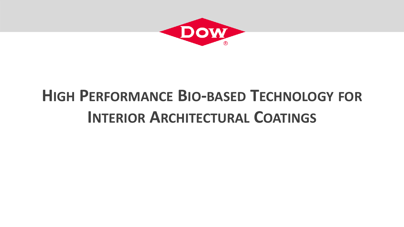

# **HIGH PERFORMANCE BIO-BASED TECHNOLOGY FOR INTERIOR ARCHITECTURAL COATINGS**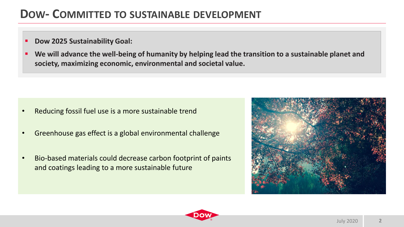# **DOW- COMMITTED TO SUSTAINABLE DEVELOPMENT**

## ▪ **Dow 2025 Sustainability Goal:**

We will advance the well-being of humanity by helping lead the transition to a sustainable planet and **society, maximizing economic, environmental and societal value.**

- Reducing fossil fuel use is a more sustainable trend
- Greenhouse gas effect is a global environmental challenge
- Bio-based materials could decrease carbon footprint of paints and coatings leading to a more sustainable future



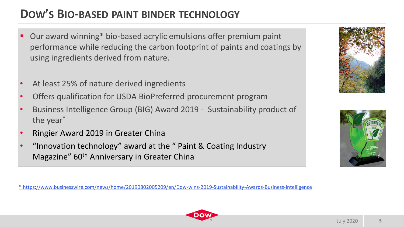# **DOW'S BIO-BASED PAINT BINDER TECHNOLOGY**

- Our award winning\* bio-based acrylic emulsions offer premium paint performance while reducing the carbon footprint of paints and coatings by using ingredients derived from nature.
- At least 25% of nature derived ingredients
- Offers qualification for USDA BioPreferred procurement program
- Business Intelligence Group (BIG) Award 2019 Sustainability product of the year\*
- Ringier Award 2019 in Greater China
- "Innovation technology" award at the " Paint & Coating Industry Magazine" 60<sup>th</sup> Anniversary in Greater China

[\\* https://www.businesswire.com/news/home/20190802005209/en/Dow-wins-2019-Sustainability-Awards-Business-Intelligence](https://www.businesswire.com/news/home/20190802005209/en/Dow-wins-2019-Sustainability-Awards-Business-Intelligence)





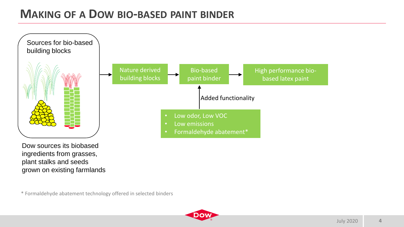# **MAKING OF A DOW BIO-BASED PAINT BINDER**



Dow sources its biobased ingredients from grasses, plant stalks and seeds grown on existing farmlands

\* Formaldehyde abatement technology offered in selected binders

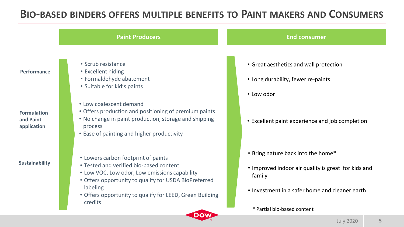## **BIO-BASED BINDERS OFFERS MULTIPLE BENEFITS TO PAINT MAKERS AND CONSUMERS**

**Paint Producers End consumer** 

## **Performance**

**Formulation and Paint application**

### **Sustainability**

- Scrub resistance
- Excellent hiding
- Formaldehyde abatement
- Suitable for kid's paints
- Low coalescent demand
- Offers production and positioning of premium paints
- No change in paint production, storage and shipping process
- Ease of painting and higher productivity
- Lowers carbon footprint of paints
- Tested and verified bio-based content
- Low VOC, Low odor, Low emissions capability
- Offers opportunity to qualify for USDA BioPreferred labeling
- Offers opportunity to qualify for LEED, Green Building credits

- Great aesthetics and wall protection
- Long durability, fewer re-paints
- Low odor
- Excellent paint experience and job completion

- Bring nature back into the home\*
- Improved indoor air quality is great for kids and family
- Investment in a safer home and cleaner earth
	- \* Partial bio-based content

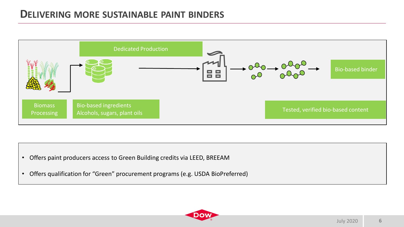## **DELIVERING MORE SUSTAINABLE PAINT BINDERS**



- Offers paint producers access to Green Building credits via LEED, BREEAM
- Offers qualification for "Green" procurement programs (e.g. USDA BioPreferred)

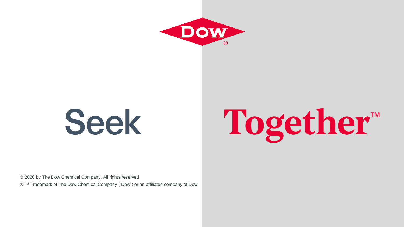

# **Seek**

# Together™

© 2020 by The Dow Chemical Company. All rights reserved

® ™ Trademark of The Dow Chemical Company ("Dow") or an affiliated company of Dow